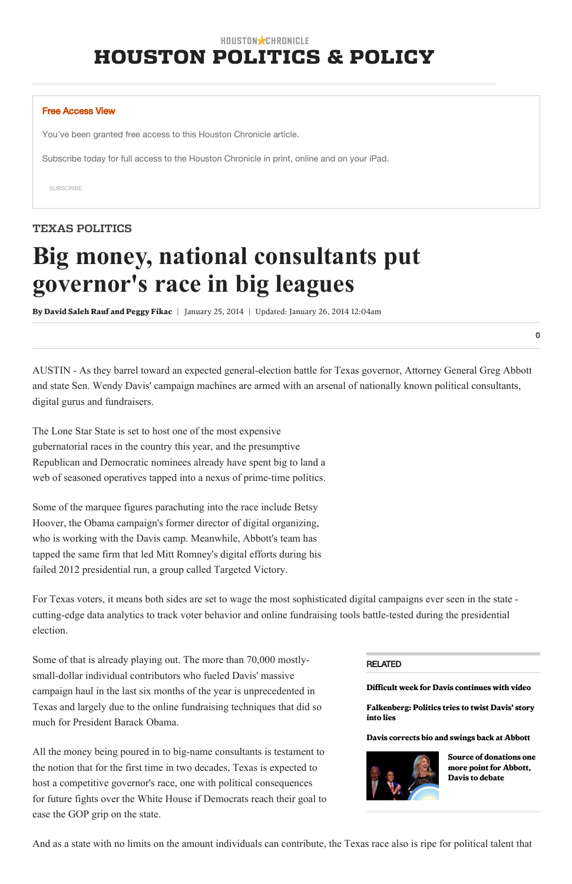# HOUSTON CHRONICLE [HOUSTON POLITICS & POLICY](http://www.houstonchronicle.com/local/politics-policy/)

[SUBSCRIBE](https://myaccount.houstonchronicle.com/dssSubscribe.aspx?z=00000&pid=114,176&return=http://www.houstonchronicle.com/news/politics/texas/article/Big-money-national-consultants-put-governor-s-5175807.php)

[Difficult week for Davis continues with video](http://www.houstonchronicle.com/news/politics/texas/article/Difficult-week-for-Davis-continues-with-video-5169990.php)

[Falkenberg: Politics tries to twist Davis' story](http://www.houstonchronicle.com/news/columnists/falkenberg/article/Falkenberg-Politics-tries-to-twist-Davis-story-5164157.php) into lies

[Davis corrects bio and swings back at Abbott](http://www.houstonchronicle.com/news/politics/texas/article/Davis-corrects-bio-and-swings-back-at-Abbott-5160573.php)



AUSTIN - As they barrel toward an expected general-election battle for Texas governor, Attorney General Greg Abbott and state Sen. Wendy Davis' campaign machines are armed with an arsenal of nationally known political consultants, digital gurus and fundraisers.

The Lone Star State is set to host one of the most expensive gubernatorial races in the country this year, and the presumptive Republican and Democratic nominees already have spent big to land a web of seasoned operatives tapped into a nexus of prime-time politics.

> [Source of donations one](http://www.houstonchronicle.com/news/politics/texas/article/Source-of-donations-one-more-point-for-Abbott-5154199.php) more point for Abbott, Davis to debate

#### RELATED

All the money being poured in to big-name consultants is testament to the notion that for the first time in two decades, Texas is expected to host a competitive governor's race, one with political consequences for future fights over the White House if Democrats reach their goal to ease the GOP grip on the state.

Some of the marquee figures parachuting into the race include Betsy Hoover, the Obama campaign's former director of digital organizing, who is working with the Davis camp. Meanwhile, Abbott's team has tapped the same firm that led Mitt Romney's digital efforts during his failed 2012 presidential run, a group called Targeted Victory.

For Texas voters, it means both sides are set to wage the most sophisticated digital campaigns ever seen in the state cutting-edge data analytics to track voter behavior and online fundraising tools battle-tested during the presidential election.

Some of that is already playing out. The more than 70,000 mostlysmall-dollar individual contributors who fueled Davis' massive campaign haul in the last six months of the year is unprecedented in Texas and largely due to the online fundraising techniques that did so much for President Barack Obama.

And as a state with no limits on the amount individuals can contribute, the Texas race also is ripe for political talent that

#### Free Access View

You've been granted free access to this Houston Chronicle article.

Subscribe today for full access to the Houston Chronicle in print, online and on your iPad.

# TEXAS POLITICS

# Big money, national consultants put governor's race in big leagues

By [David Saleh Rauf](http://www.houstonchronicle.com/author/david-saleh-rauf/) [and Peggy Fikac](http://www.houstonchronicle.com/author/peggy-fikac/) | January 25, 2014 | Updated: January 26, 2014 12:04am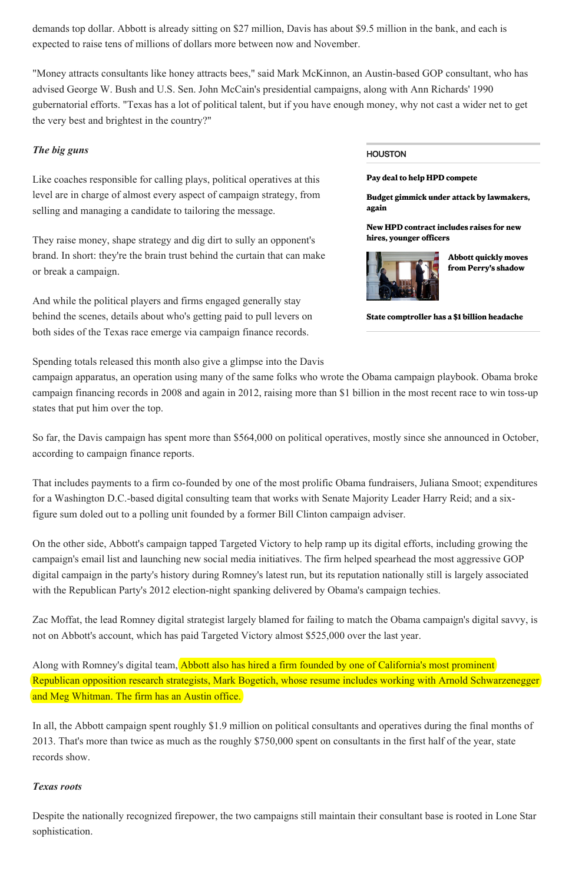#### Pay deal to help HPD [compete](http://www.houstonchronicle.com/news/houston-texas/houston/article/Houston-news-6072048.php)

Budget gimmick under attack by [lawmakers,](http://www.houstonchronicle.com/news/politics/texas/article/Budget-gimmick-under-attack-by-lawmakers-again-6071584.php) again

New HPD [contract](http://www.houstonchronicle.com/news/houston-texas/houston/article/Mayor-to-announce-new-contract-with-police-6070946.php) includes raises for new hires, younger officers



Abbott quickly moves from Perry's [shadow](http://www.houstonchronicle.com/news/politics/texas/article/Abbott-quickly-moves-from-Perry-s-shadow-6067312.php)

State [comptroller](http://www.houstonchronicle.com/news/houston-texas/houston/article/State-Comptroler-s-1-billion-headache-6070053.php) has a \$1 billion headache

### HOUSTON

demands top dollar. Abbott is already sitting on \$27 million, Davis has about \$9.5 million in the bank, and each is expected to raise tens of millions of dollars more between now and November.

"Money attracts consultants like honey attracts bees," said Mark McKinnon, an Austin-based GOP consultant, who has advised George W. Bush and U.S. Sen. John McCain's presidential campaigns, along with Ann Richards' 1990 gubernatorial efforts. "Texas has a lot of political talent, but if you have enough money, why not cast a wider net to get the very best and brightest in the country?"

## The big guns

Like coaches responsible for calling plays, political operatives at this level are in charge of almost every aspect of campaign strategy, from selling and managing a candidate to tailoring the message.

That includes payments to a firm co-founded by one of the most prolific Obama fundraisers, Juliana Smoot; expenditures for a Washington D.C.-based digital consulting team that works with Senate Majority Leader Harry Reid; and a sixfigure sum doled out to a polling unit founded by a former Bill Clinton campaign adviser.

On the other side, Abbott's campaign tapped Targeted Victory to help ramp up its digital efforts, including growing the campaign's email list and launching new social media initiatives. The firm helped spearhead the most aggressive GOP digital campaign in the party's history during Romney's latest run, but its reputation nationally still is largely associated with the Republican Party's 2012 election-night spanking delivered by Obama's campaign techies.

They raise money, shape strategy and dig dirt to sully an opponent's brand. In short: they're the brain trust behind the curtain that can make or break a campaign.

And while the political players and firms engaged generally stay behind the scenes, details about who's getting paid to pull levers on both sides of the Texas race emerge via campaign finance records.

Spending totals released this month also give a glimpse into the Davis

Along with Romney's digital team, Abbott also has hired a firm founded by one of California's most prominent Republican opposition research strategists, Mark Bogetich, whose resume includes working with Arnold Schwarzenegger and Meg Whitman. The firm has an Austin office.

campaign apparatus, an operation using many of the same folks who wrote the Obama campaign playbook. Obama broke campaign financing records in 2008 and again in 2012, raising more than \$1 billion in the most recent race to win toss-up states that put him over the top.

So far, the Davis campaign has spent more than \$564,000 on political operatives, mostly since she announced in October, according to campaign finance reports.

Zac Moffat, the lead Romney digital strategist largely blamed for failing to match the Obama campaign's digital savvy, is not on Abbott's account, which has paid Targeted Victory almost \$525,000 over the last year.

In all, the Abbott campaign spent roughly \$1.9 million on political consultants and operatives during the final months of 2013. That's more than twice as much as the roughly \$750,000 spent on consultants in the first half of the year, state records show.

#### Texas roots

Despite the nationally recognized firepower, the two campaigns still maintain their consultant base is rooted in Lone Star sophistication.